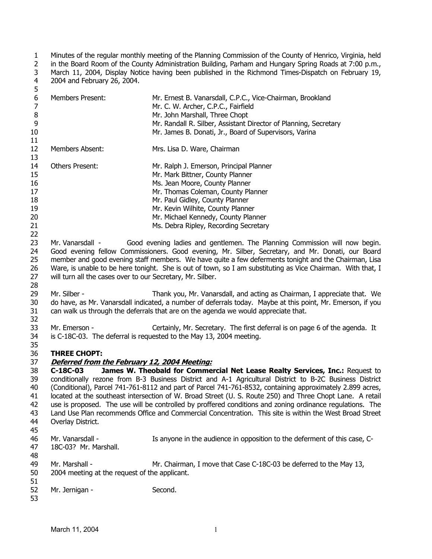1 2 3 4 5 Minutes of the regular monthly meeting of the Planning Commission of the County of Henrico, Virginia, held in the Board Room of the County Administration Building, Parham and Hungary Spring Roads at 7:00 p.m., March 11, 2004, Display Notice having been published in the Richmond Times-Dispatch on February 19, 2004 and February 26, 2004.

| 6<br>$\overline{7}$ | Members Present:                                                                                            | Mr. Ernest B. Vanarsdall, C.P.C., Vice-Chairman, Brookland<br>Mr. C. W. Archer, C.P.C., Fairfield           |  |
|---------------------|-------------------------------------------------------------------------------------------------------------|-------------------------------------------------------------------------------------------------------------|--|
| $\, 8$              |                                                                                                             | Mr. John Marshall, Three Chopt                                                                              |  |
| 9                   |                                                                                                             | Mr. Randall R. Silber, Assistant Director of Planning, Secretary                                            |  |
| 10                  |                                                                                                             | Mr. James B. Donati, Jr., Board of Supervisors, Varina                                                      |  |
| 11<br>12            | Members Absent:                                                                                             | Mrs. Lisa D. Ware, Chairman                                                                                 |  |
| 13                  |                                                                                                             |                                                                                                             |  |
| 14                  | <b>Others Present:</b>                                                                                      | Mr. Ralph J. Emerson, Principal Planner                                                                     |  |
| 15                  |                                                                                                             | Mr. Mark Bittner, County Planner                                                                            |  |
| 16                  |                                                                                                             | Ms. Jean Moore, County Planner                                                                              |  |
| 17                  |                                                                                                             | Mr. Thomas Coleman, County Planner                                                                          |  |
| 18                  |                                                                                                             | Mr. Paul Gidley, County Planner                                                                             |  |
| 19                  |                                                                                                             | Mr. Kevin Wilhite, County Planner                                                                           |  |
| 20                  |                                                                                                             | Mr. Michael Kennedy, County Planner                                                                         |  |
| 21                  |                                                                                                             | Ms. Debra Ripley, Recording Secretary                                                                       |  |
| 22                  |                                                                                                             |                                                                                                             |  |
| 23                  | Mr. Vanarsdall -                                                                                            | Good evening ladies and gentlemen. The Planning Commission will now begin.                                  |  |
| 24                  | Good evening fellow Commissioners. Good evening, Mr. Silber, Secretary, and Mr. Donati, our Board           |                                                                                                             |  |
| 25                  | member and good evening staff members. We have quite a few deferments tonight and the Chairman, Lisa        |                                                                                                             |  |
| 26                  | Ware, is unable to be here tonight. She is out of town, so I am substituting as Vice Chairman. With that, I |                                                                                                             |  |
| 27                  | will turn all the cases over to our Secretary, Mr. Silber.                                                  |                                                                                                             |  |
| 28                  |                                                                                                             |                                                                                                             |  |
| 29                  | Mr. Silber -                                                                                                | Thank you, Mr. Vanarsdall, and acting as Chairman, I appreciate that. We                                    |  |
| 30                  |                                                                                                             | do have, as Mr. Vanarsdall indicated, a number of deferrals today. Maybe at this point, Mr. Emerson, if you |  |
| 31                  |                                                                                                             | can walk us through the deferrals that are on the agenda we would appreciate that.                          |  |
| 32                  |                                                                                                             |                                                                                                             |  |
| 33                  | Mr. Emerson -                                                                                               | Certainly, Mr. Secretary. The first deferral is on page 6 of the agenda. It                                 |  |
| 34                  |                                                                                                             | is C-18C-03. The deferral is requested to the May 13, 2004 meeting.                                         |  |
| 35                  |                                                                                                             |                                                                                                             |  |
| 36                  | <b>THREE CHOPT:</b>                                                                                         |                                                                                                             |  |
| 37                  | Deferred from the February 12, 2004 Meeting:                                                                |                                                                                                             |  |
| 38                  | C-18C-03                                                                                                    | James W. Theobald for Commercial Net Lease Realty Services, Inc.: Request to                                |  |
| 39                  |                                                                                                             | conditionally rezone from B-3 Business District and A-1 Agricultural District to B-2C Business District     |  |
| 40                  | (Conditional), Parcel 741-761-8112 and part of Parcel 741-761-8532, containing approximately 2.899 acres,   |                                                                                                             |  |
| 41                  | located at the southeast intersection of W. Broad Street (U. S. Route 250) and Three Chopt Lane. A retail   |                                                                                                             |  |
| 42                  | use is proposed. The use will be controlled by proffered conditions and zoning ordinance regulations. The   |                                                                                                             |  |
| 43                  | Land Use Plan recommends Office and Commercial Concentration. This site is within the West Broad Street     |                                                                                                             |  |
| 44                  | Overlay District.                                                                                           |                                                                                                             |  |
| 45                  |                                                                                                             |                                                                                                             |  |
| 46                  | Mr. Vanarsdall -                                                                                            | Is anyone in the audience in opposition to the deferment of this case, C-                                   |  |
| 47                  | 18C-03? Mr. Marshall.                                                                                       |                                                                                                             |  |
| 48                  |                                                                                                             |                                                                                                             |  |
| 49                  | Mr. Marshall -                                                                                              | Mr. Chairman, I move that Case C-18C-03 be deferred to the May 13,                                          |  |
| 50                  | 2004 meeting at the request of the applicant.                                                               |                                                                                                             |  |
| 51                  |                                                                                                             |                                                                                                             |  |
| 52                  | Mr. Jernigan -                                                                                              | Second.                                                                                                     |  |
| 53                  |                                                                                                             |                                                                                                             |  |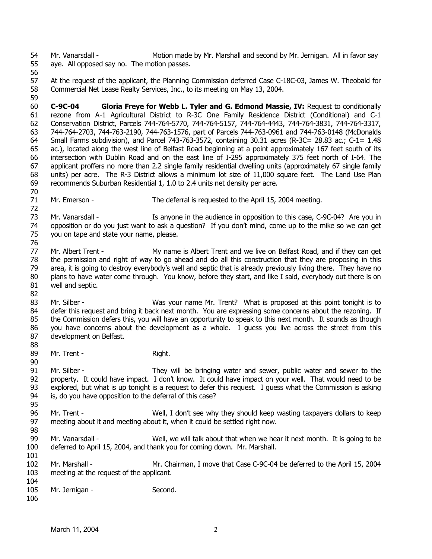54 55 Mr. Vanarsdall - Motion made by Mr. Marshall and second by Mr. Jernigan. All in favor say aye. All opposed say no. The motion passes.

56

70

72

98

57 58 At the request of the applicant, the Planning Commission deferred Case C-18C-03, James W. Theobald for Commercial Net Lease Realty Services, Inc., to its meeting on May 13, 2004.

59 60 61 62 63 64 65 66 67 68 69 **C-9C-04 Gloria Freye for Webb L. Tyler and G. Edmond Massie, IV:** Request to conditionally rezone from A-1 Agricultural District to R-3C One Family Residence District (Conditional) and C-1 Conservation District, Parcels 744-764-5770, 744-764-5157, 744-764-4443, 744-764-3831, 744-764-3317, 744-764-2703, 744-763-2190, 744-763-1576, part of Parcels 744-763-0961 and 744-763-0148 (McDonalds Small Farms subdivision), and Parcel 743-763-3572, containing 30.31 acres (R-3C= 28.83 ac.; C-1= 1.48 ac.), located along the west line of Belfast Road beginning at a point approximately 167 feet south of its intersection with Dublin Road and on the east line of I-295 approximately 375 feet north of I-64. The applicant proffers no more than 2.2 single family residential dwelling units (approximately 67 single family units) per acre. The R-3 District allows a minimum lot size of 11,000 square feet. The Land Use Plan recommends Suburban Residential 1, 1.0 to 2.4 units net density per acre.

71 Mr. Emerson - The deferral is requested to the April 15, 2004 meeting.

73 74 75 76 Mr. Vanarsdall - The Is anyone in the audience in opposition to this case, C-9C-04? Are you in opposition or do you just want to ask a question? If you don't mind, come up to the mike so we can get you on tape and state your name, please.

- 77 78 79 80 81 Mr. Albert Trent - My name is Albert Trent and we live on Belfast Road, and if they can get the permission and right of way to go ahead and do all this construction that they are proposing in this area, it is going to destroy everybody's well and septic that is already previously living there. They have no plans to have water come through. You know, before they start, and like I said, everybody out there is on well and septic.
- 82 83 84 85 86 87 88 Mr. Silber - Was your name Mr. Trent? What is proposed at this point tonight is to defer this request and bring it back next month. You are expressing some concerns about the rezoning. If the Commission defers this, you will have an opportunity to speak to this next month. It sounds as though you have concerns about the development as a whole. I guess you live across the street from this development on Belfast.
- 89 90 Mr. Trent - The Right.

91 92 93 94 95 Mr. Silber - They will be bringing water and sewer, public water and sewer to the property. It could have impact. I don't know. It could have impact on your well. That would need to be explored, but what is up tonight is a request to defer this request. I guess what the Commission is asking is, do you have opposition to the deferral of this case?

- 96 97 Mr. Trent - Well, I don't see why they should keep wasting taxpayers dollars to keep meeting about it and meeting about it, when it could be settled right now.
- 99 100 101 Mr. Vanarsdall - Well, we will talk about that when we hear it next month. It is going to be deferred to April 15, 2004, and thank you for coming down. Mr. Marshall.
- 102 103 104 Mr. Marshall - Mr. Chairman, I move that Case C-9C-04 be deferred to the April 15, 2004 meeting at the request of the applicant.
- 105 106 Mr. Jernigan - Second.
	- March 11, 2004 2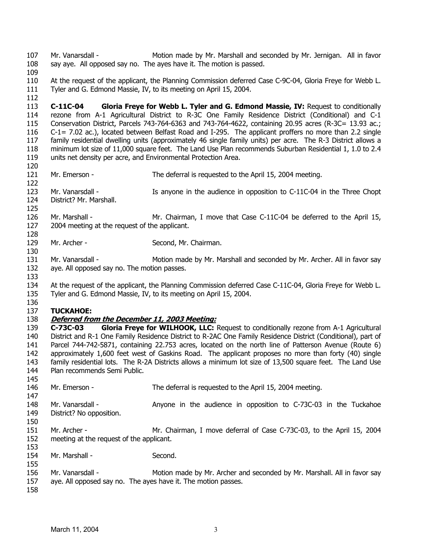107 108 Mr. Vanarsdall - The Motion made by Mr. Marshall and seconded by Mr. Jernigan. All in favor say aye. All opposed say no. The ayes have it. The motion is passed.

- 109
- 110 111 At the request of the applicant, the Planning Commission deferred Case C-9C-04, Gloria Freye for Webb L. Tyler and G. Edmond Massie, IV, to its meeting on April 15, 2004.
- 112

113 114 115 116 117 118 119 **C-11C-04 Gloria Freye for Webb L. Tyler and G. Edmond Massie, IV:** Request to conditionally rezone from A-1 Agricultural District to R-3C One Family Residence District (Conditional) and C-1 Conservation District, Parcels 743-764-6363 and 743-764-4622, containing 20.95 acres (R-3C= 13.93 ac.; C-1= 7.02 ac.), located between Belfast Road and I-295. The applicant proffers no more than 2.2 single family residential dwelling units (approximately 46 single family units) per acre. The R-3 District allows a minimum lot size of 11,000 square feet. The Land Use Plan recommends Suburban Residential 1, 1.0 to 2.4 units net density per acre, and Environmental Protection Area.

120 121

130

133

- Mr. Emerson The deferral is requested to the April 15, 2004 meeting.
- 122 123 124 Mr. Vanarsdall - The Is anyone in the audience in opposition to C-11C-04 in the Three Chopt District? Mr. Marshall.
- 125 126 127 128 Mr. Marshall - Mr. Chairman, I move that Case C-11C-04 be deferred to the April 15, 2004 meeting at the request of the applicant.
- 129 Mr. Archer - Second, Mr. Chairman.
- 131 132 Mr. Vanarsdall - Motion made by Mr. Marshall and seconded by Mr. Archer. All in favor say aye. All opposed say no. The motion passes.
- 134 135 At the request of the applicant, the Planning Commission deferred Case C-11C-04, Gloria Freye for Webb L. Tyler and G. Edmond Massie, IV, to its meeting on April 15, 2004.

#### 136 137 **TUCKAHOE:**

# 138 **Deferred from the December 11, 2003 Meeting:**

139 140 141 142 143 144 **C-73C-03 Gloria Freye for WILHOOK, LLC:** Request to conditionally rezone from A-1 Agricultural District and R-1 One Family Residence District to R-2AC One Family Residence District (Conditional), part of Parcel 744-742-5871, containing 22.753 acres, located on the north line of Patterson Avenue (Route 6) approximately 1,600 feet west of Gaskins Road. The applicant proposes no more than forty (40) single family residential lots. The R-2A Districts allows a minimum lot size of 13,500 square feet. The Land Use Plan recommends Semi Public.

- 145 146 Mr. Emerson - The deferral is requested to the April 15, 2004 meeting.
- 147 148 149 Mr. Vanarsdall - Anyone in the audience in opposition to C-73C-03 in the Tuckahoe District? No opposition.
- 150
- 151 152 153 Mr. Archer - Mr. Chairman, I move deferral of Case C-73C-03, to the April 15, 2004 meeting at the request of the applicant.
- 154 Mr. Marshall - Second.
- 156 157 Mr. Vanarsdall - Motion made by Mr. Archer and seconded by Mr. Marshall. All in favor say aye. All opposed say no. The ayes have it. The motion passes.
- 158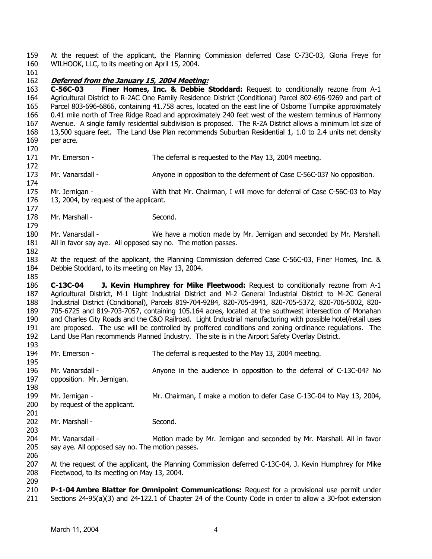159 160 At the request of the applicant, the Planning Commission deferred Case C-73C-03, Gloria Freye for WILHOOK, LLC, to its meeting on April 15, 2004.

161

## 162 **Deferred from the January 15, 2004 Meeting:**

163 164 165 166 167 168 169 **C-56C-03 Finer Homes, Inc. & Debbie Stoddard:** Request to conditionally rezone from A-1 Agricultural District to R-2AC One Family Residence District (Conditional) Parcel 802-696-9269 and part of Parcel 803-696-6866, containing 41.758 acres, located on the east line of Osborne Turnpike approximately 0.41 mile north of Tree Ridge Road and approximately 240 feet west of the western terminus of Harmony Avenue. A single family residential subdivision is proposed. The R-2A District allows a minimum lot size of 13,500 square feet. The Land Use Plan recommends Suburban Residential 1, 1.0 to 2.4 units net density per acre.

170

171 172

174

177

179

182

185

195

- Mr. Emerson The deferral is requested to the May 13, 2004 meeting.
- 173 Mr. Vanarsdall - Anyone in opposition to the deferment of Case C-56C-03? No opposition.
- 175 176 Mr. Jernigan - With that Mr. Chairman, I will move for deferral of Case C-56C-03 to May 13, 2004, by request of the applicant.
- 178 Mr. Marshall - Second.
- 180 181 Mr. Vanarsdall - We have a motion made by Mr. Jernigan and seconded by Mr. Marshall. All in favor say aye. All opposed say no. The motion passes.
- 183 184 At the request of the applicant, the Planning Commission deferred Case C-56C-03, Finer Homes, Inc. & Debbie Stoddard, to its meeting on May 13, 2004.

186 187 188 189 190 191 192 193 **C-13C-04 J. Kevin Humphrey for Mike Fleetwood:** Request to conditionally rezone from A-1 Agricultural District, M-1 Light Industrial District and M-2 General Industrial District to M-2C General Industrial District (Conditional), Parcels 819-704-9284, 820-705-3941, 820-705-5372, 820-706-5002, 820- 705-6725 and 819-703-7057, containing 105.164 acres, located at the southwest intersection of Monahan and Charles City Roads and the C&O Railroad. Light Industrial manufacturing with possible hotel/retail uses are proposed. The use will be controlled by proffered conditions and zoning ordinance regulations. The Land Use Plan recommends Planned Industry. The site is in the Airport Safety Overlay District.

- 194 Mr. Emerson - The deferral is requested to the May 13, 2004 meeting.
- 196 197 198 Mr. Vanarsdall - Anyone in the audience in opposition to the deferral of C-13C-04? No opposition. Mr. Jernigan.
- 199 200 201 Mr. Jernigan - Mr. Chairman, I make a motion to defer Case C-13C-04 to May 13, 2004, by request of the applicant.
- 202 Mr. Marshall - Second.
- 204 205 Mr. Vanarsdall - **Motion made by Mr. Jernigan and seconded by Mr. Marshall. All in favor** say aye. All opposed say no. The motion passes.
- 207 208 At the request of the applicant, the Planning Commission deferred C-13C-04, J. Kevin Humphrey for Mike Fleetwood, to its meeting on May 13, 2004.
- 209

203

206

210 211 **P-1-04 Ambre Blatter for Omnipoint Communications:** Request for a provisional use permit under Sections 24-95(a)(3) and 24-122.1 of Chapter 24 of the County Code in order to allow a 30-foot extension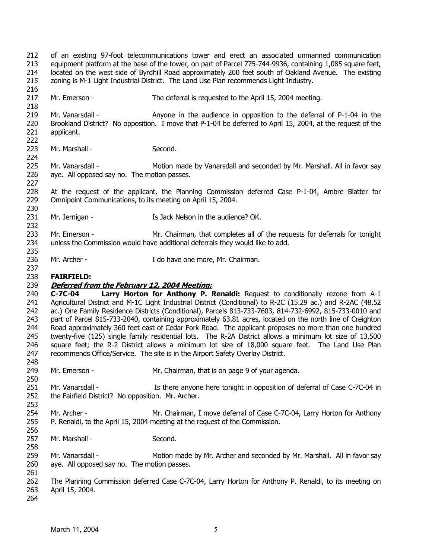212 213 214 215 216 of an existing 97-foot telecommunications tower and erect an associated unmanned communication equipment platform at the base of the tower, on part of Parcel 775-744-9936, containing 1,085 square feet, located on the west side of Byrdhill Road approximately 200 feet south of Oakland Avenue. The existing zoning is M-1 Light Industrial District. The Land Use Plan recommends Light Industry.

217 218 Mr. Emerson - The deferral is requested to the April 15, 2004 meeting.

219 220 221 222 Mr. Vanarsdall -  $\blacksquare$  Anyone in the audience in opposition to the deferral of P-1-04 in the Brookland District? No opposition. I move that P-1-04 be deferred to April 15, 2004, at the request of the applicant.

- 223 Mr. Marshall - Second.
- 225 226 227 Mr. Vanarsdall - **Motion made by Vanarsdall and seconded by Mr. Marshall. All in favor say** aye. All opposed say no. The motion passes.
- 228 229 At the request of the applicant, the Planning Commission deferred Case P-1-04, Ambre Blatter for Omnipoint Communications, to its meeting on April 15, 2004.
- 231 Mr. Jernigan - The Music Controller State Is Jack Nelson in the audience? OK.
- 233 234 Mr. Emerson - Mr. Chairman, that completes all of the requests for deferrals for tonight unless the Commission would have additional deferrals they would like to add.
- 236 Mr. Archer - The Music Compared in the Mr. Chairman.

#### 238 **FAIRFIELD:**

224

230

232

235

237

250

253

256

258

261

## 239 **Deferred from the February 12, 2004 Meeting:**

240 241 242 243 244 245 246 247 248 **C-7C-04 Larry Horton for Anthony P. Renaldi:** Request to conditionally rezone from A-1 Agricultural District and M-1C Light Industrial District (Conditional) to R-2C (15.29 ac.) and R-2AC (48.52 ac.) One Family Residence Districts (Conditional), Parcels 813-733-7603, 814-732-6992, 815-733-0010 and part of Parcel 815-733-2040, containing approximately 63.81 acres, located on the north line of Creighton Road approximately 360 feet east of Cedar Fork Road. The applicant proposes no more than one hundred twenty-five (125) single family residential lots. The R-2A District allows a minimum lot size of 13,500 square feet; the R-2 District allows a minimum lot size of 18,000 square feet. The Land Use Plan recommends Office/Service. The site is in the Airport Safety Overlay District.

- 249 Mr. Emerson - The Mr. Chairman, that is on page 9 of your agenda.
- 251 252 Mr. Vanarsdall - **In the Is there anyone here tonight in opposition of deferral of Case C-7C-04 in** the Fairfield District? No opposition. Mr. Archer.
- 254 255 Mr. Archer - The Mr. Chairman, I move deferral of Case C-7C-04, Larry Horton for Anthony P. Renaldi, to the April 15, 2004 meeting at the request of the Commission.
- 257 Mr. Marshall - Second.
- 259 260 Mr. Vanarsdall - Motion made by Mr. Archer and seconded by Mr. Marshall. All in favor say aye. All opposed say no. The motion passes.
- 262 263 The Planning Commission deferred Case C-7C-04, Larry Horton for Anthony P. Renaldi, to its meeting on April 15, 2004.
- 264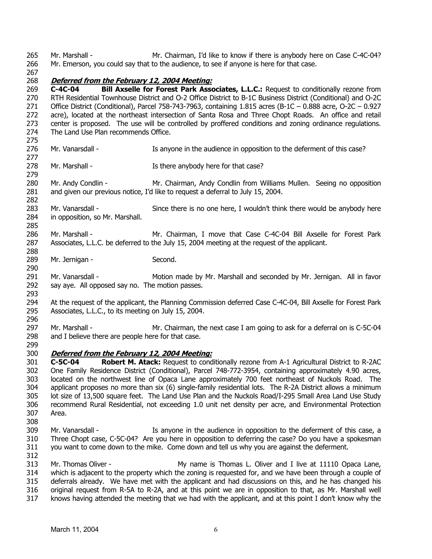265 266 Mr. Marshall - **Mr. Chairman, I'd like to know if there is anybody here on Case C-4C-04?** Mr. Emerson, you could say that to the audience, to see if anyone is here for that case.

267

282

290

# 268 **Deferred from the February 12, 2004 Meeting:**

269 270 271 272 273 274 275 **C-4C-04 Bill Axselle for Forest Park Associates, L.L.C.:** Request to conditionally rezone from RTH Residential Townhouse District and O-2 Office District to B-1C Business District (Conditional) and O-2C Office District (Conditional), Parcel 758-743-7963, containing 1.815 acres (B-1C – 0.888 acre, O-2C – 0.927 acre), located at the northeast intersection of Santa Rosa and Three Chopt Roads. An office and retail center is proposed. The use will be controlled by proffered conditions and zoning ordinance regulations. The Land Use Plan recommends Office.

- 276 277 Mr. Vanarsdall - This anyone in the audience in opposition to the deferment of this case?
- 278 279 Mr. Marshall - The Is there anybody here for that case?

280 281 Mr. Andy Condlin - Mr. Chairman, Andy Condlin from Williams Mullen. Seeing no opposition and given our previous notice, I'd like to request a deferral to July 15, 2004.

- 283 284 Mr. Vanarsdall - Since there is no one here, I wouldn't think there would be anybody here in opposition, so Mr. Marshall.
- 285 286 287 288 Mr. Marshall - The Mr. Chairman, I move that Case C-4C-04 Bill Axselle for Forest Park Associates, L.L.C. be deferred to the July 15, 2004 meeting at the request of the applicant.
- 289 Mr. Jernigan - Second.
- 291 292 Mr. Vanarsdall - Motion made by Mr. Marshall and seconded by Mr. Jernigan. All in favor say aye. All opposed say no. The motion passes.
- 293 294 295 296 At the request of the applicant, the Planning Commission deferred Case C-4C-04, Bill Axselle for Forest Park Associates, L.L.C., to its meeting on July 15, 2004.
- 297 298 299 Mr. Marshall - Mr. Chairman, the next case I am going to ask for a deferral on is C-5C-04 and I believe there are people here for that case.
- 300 **Deferred from the February 12, 2004 Meeting:**

301 302 303 304 305 306 307 **C-5C-04 Robert M. Atack:** Request to conditionally rezone from A-1 Agricultural District to R-2AC One Family Residence District (Conditional), Parcel 748-772-3954, containing approximately 4.90 acres, located on the northwest line of Opaca Lane approximately 700 feet northeast of Nuckols Road. The applicant proposes no more than six (6) single-family residential lots. The R-2A District allows a minimum lot size of 13,500 square feet. The Land Use Plan and the Nuckols Road/I-295 Small Area Land Use Study recommend Rural Residential, not exceeding 1.0 unit net density per acre, and Environmental Protection Area.

- 308
- 309 310 311 Mr. Vanarsdall - The Is anyone in the audience in opposition to the deferment of this case, a Three Chopt case, C-5C-04? Are you here in opposition to deferring the case? Do you have a spokesman you want to come down to the mike. Come down and tell us why you are against the deferment.
- 312 313 314 315 316 Mr. Thomas Oliver - The My name is Thomas L. Oliver and I live at 11110 Opaca Lane, which is adjacent to the property which the zoning is requested for, and we have been through a couple of deferrals already. We have met with the applicant and had discussions on this, and he has changed his original request from R-5A to R-2A, and at this point we are in opposition to that, as Mr. Marshall well
- 317 knows having attended the meeting that we had with the applicant, and at this point I don't know why the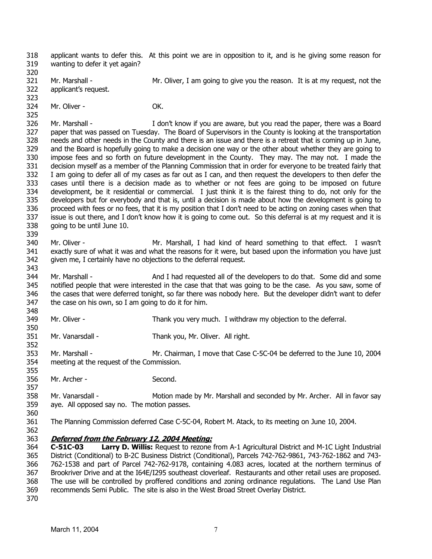318 319 applicant wants to defer this. At this point we are in opposition to it, and is he giving some reason for wanting to defer it yet again?

320 321 322 323 Mr. Marshall - Mr. Oliver, I am going to give you the reason. It is at my request, not the applicant's request.

324 Mr. Oliver - **OK.** 

325

339

343

352

355

357

326 327 328 329 330 331 332 333 334 335 336 337 338 Mr. Marshall - The Music of the I don't know if you are aware, but you read the paper, there was a Board paper that was passed on Tuesday. The Board of Supervisors in the County is looking at the transportation needs and other needs in the County and there is an issue and there is a retreat that is coming up in June, and the Board is hopefully going to make a decision one way or the other about whether they are going to impose fees and so forth on future development in the County. They may. The may not. I made the decision myself as a member of the Planning Commission that in order for everyone to be treated fairly that I am going to defer all of my cases as far out as I can, and then request the developers to then defer the cases until there is a decision made as to whether or not fees are going to be imposed on future development, be it residential or commercial. I just think it is the fairest thing to do, not only for the developers but for everybody and that is, until a decision is made about how the development is going to proceed with fees or no fees, that it is my position that I don't need to be acting on zoning cases when that issue is out there, and I don't know how it is going to come out. So this deferral is at my request and it is going to be until June 10.

- 340 341 342 Mr. Oliver - The Mr. Marshall, I had kind of heard something to that effect. I wasn't exactly sure of what it was and what the reasons for it were, but based upon the information you have just given me, I certainly have no objections to the deferral request.
- 344 345 346 347 348 Mr. Marshall - And I had requested all of the developers to do that. Some did and some notified people that were interested in the case that that was going to be the case. As you saw, some of the cases that were deferred tonight, so far there was nobody here. But the developer didn't want to defer the case on his own, so I am going to do it for him.
- 349 350 Mr. Oliver - Thank you very much. I withdraw my objection to the deferral.
- 351 Mr. Vanarsdall - Thank you, Mr. Oliver. All right.
- 353 354 Mr. Marshall - Mr. Chairman, I move that Case C-5C-04 be deferred to the June 10, 2004 meeting at the request of the Commission.
- 356 Mr. Archer - Second.
- 358 359 360 Mr. Vanarsdall - Motion made by Mr. Marshall and seconded by Mr. Archer. All in favor say aye. All opposed say no. The motion passes.
- 361 The Planning Commission deferred Case C-5C-04, Robert M. Atack, to its meeting on June 10, 2004.
- 362

## 363 **Deferred from the February 12, 2004 Meeting:**

364 365 366 367 368 369 370 **C-51C-03 Larry D. Willis:** Request to rezone from A-1 Agricultural District and M-1C Light Industrial District (Conditional) to B-2C Business District (Conditional), Parcels 742-762-9861, 743-762-1862 and 743- 762-1538 and part of Parcel 742-762-9178, containing 4.083 acres, located at the northern terminus of Brookriver Drive and at the I64E/I295 southeast cloverleaf. Restaurants and other retail uses are proposed. The use will be controlled by proffered conditions and zoning ordinance regulations. The Land Use Plan recommends Semi Public. The site is also in the West Broad Street Overlay District.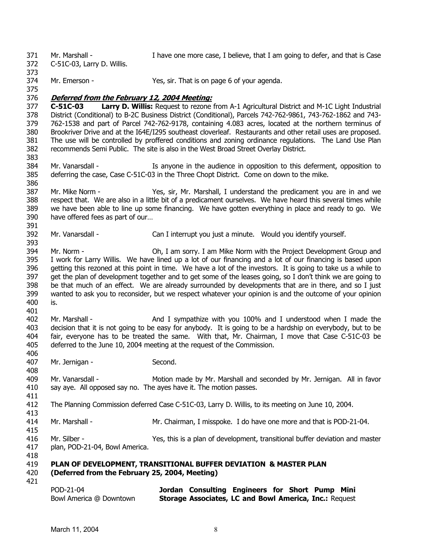371 372 373 374 375 Mr. Marshall - I have one more case, I believe, that I am going to defer, and that is Case C-51C-03, Larry D. Willis. Mr. Emerson - Yes, sir. That is on page 6 of your agenda. 376 **Deferred from the February 12, 2004 Meeting:** 377 378 379 380 381 382 383 384 385 386 387 388 389 390 391 **C-51C-03 Larry D. Willis:** Request to rezone from A-1 Agricultural District and M-1C Light Industrial District (Conditional) to B-2C Business District (Conditional), Parcels 742-762-9861, 743-762-1862 and 743- 762-1538 and part of Parcel 742-762-9178, containing 4.083 acres, located at the northern terminus of Brookriver Drive and at the I64E/I295 southeast cloverleaf. Restaurants and other retail uses are proposed. The use will be controlled by proffered conditions and zoning ordinance regulations. The Land Use Plan recommends Semi Public. The site is also in the West Broad Street Overlay District. Mr. Vanarsdall - The Is anyone in the audience in opposition to this deferment, opposition to deferring the case, Case C-51C-03 in the Three Chopt District. Come on down to the mike. Mr. Mike Norm - Yes, sir, Mr. Marshall, I understand the predicament you are in and we respect that. We are also in a little bit of a predicament ourselves. We have heard this several times while we have been able to line up some financing. We have gotten everything in place and ready to go. We have offered fees as part of our…

392 Mr. Vanarsdall - Can I interrupt you just a minute. Would you identify yourself.

394 395 396 397 398 399 400 401 Mr. Norm - Oh, I am sorry. I am Mike Norm with the Project Development Group and I work for Larry Willis. We have lined up a lot of our financing and a lot of our financing is based upon getting this rezoned at this point in time. We have a lot of the investors. It is going to take us a while to get the plan of development together and to get some of the leases going, so I don't think we are going to be that much of an effect. We are already surrounded by developments that are in there, and so I just wanted to ask you to reconsider, but we respect whatever your opinion is and the outcome of your opinion is.

402 403 404 405 Mr. Marshall - And I sympathize with you 100% and I understood when I made the decision that it is not going to be easy for anybody. It is going to be a hardship on everybody, but to be fair, everyone has to be treated the same. With that, Mr. Chairman, I move that Case C-51C-03 be deferred to the June 10, 2004 meeting at the request of the Commission.

- 407 Mr. Jernigan - Second.
- 409 410 Mr. Vanarsdall - Motion made by Mr. Marshall and seconded by Mr. Jernigan. All in favor say aye. All opposed say no. The ayes have it. The motion passes.
- 412 The Planning Commission deferred Case C-51C-03, Larry D. Willis, to its meeting on June 10, 2004.
- 414 Mr. Marshall - Mr. Chairman, I misspoke. I do have one more and that is POD-21-04.
- 415 416 417 Mr. Silber - Yes, this is a plan of development, transitional buffer deviation and master plan, POD-21-04, Bowl America.
- 419 **PLAN OF DEVELOPMENT, TRANSITIONAL BUFFER DEVIATION & MASTER PLAN**
- 420 **(Deferred from the February 25, 2004, Meeting)**
- 421

418

393

406

408

411

```
POD-21-04 
Bowl America @ Downtown 
                            Jordan Consulting Engineers for Short Pump Mini
                            Storage Associates, LC and Bowl America, Inc.: Request
```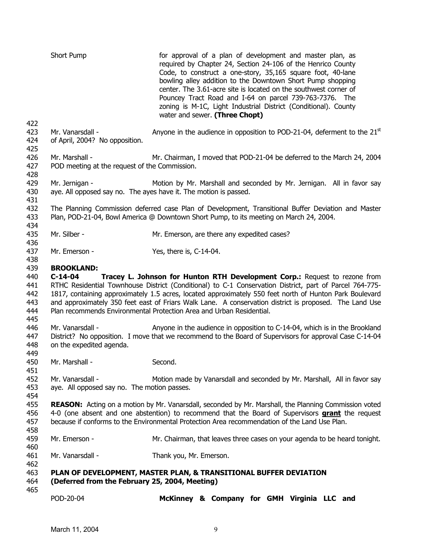|                                               | Short Pump                                                                                                                                                                                                                                                                                                                                                                                                                                                                                                           | for approval of a plan of development and master plan, as<br>required by Chapter 24, Section 24-106 of the Henrico County<br>Code, to construct a one-story, 35,165 square foot, 40-lane<br>bowling alley addition to the Downtown Short Pump shopping<br>center. The 3.61-acre site is located on the southwest corner of<br>Pouncey Tract Road and I-64 on parcel 739-763-7376. The<br>zoning is M-1C, Light Industrial District (Conditional). County<br>water and sewer. (Three Chopt) |  |
|-----------------------------------------------|----------------------------------------------------------------------------------------------------------------------------------------------------------------------------------------------------------------------------------------------------------------------------------------------------------------------------------------------------------------------------------------------------------------------------------------------------------------------------------------------------------------------|--------------------------------------------------------------------------------------------------------------------------------------------------------------------------------------------------------------------------------------------------------------------------------------------------------------------------------------------------------------------------------------------------------------------------------------------------------------------------------------------|--|
| 422<br>423<br>424<br>425                      | Mr. Vanarsdall -<br>of April, 2004? No opposition.                                                                                                                                                                                                                                                                                                                                                                                                                                                                   | Anyone in the audience in opposition to POD-21-04, deferment to the $21st$                                                                                                                                                                                                                                                                                                                                                                                                                 |  |
| 426<br>427<br>428                             | Mr. Marshall -<br>POD meeting at the request of the Commission.                                                                                                                                                                                                                                                                                                                                                                                                                                                      | Mr. Chairman, I moved that POD-21-04 be deferred to the March 24, 2004                                                                                                                                                                                                                                                                                                                                                                                                                     |  |
| 429<br>430<br>431                             | Mr. Jernigan -                                                                                                                                                                                                                                                                                                                                                                                                                                                                                                       | Motion by Mr. Marshall and seconded by Mr. Jernigan. All in favor say<br>aye. All opposed say no. The ayes have it. The motion is passed.                                                                                                                                                                                                                                                                                                                                                  |  |
| 432<br>433<br>434                             |                                                                                                                                                                                                                                                                                                                                                                                                                                                                                                                      | The Planning Commission deferred case Plan of Development, Transitional Buffer Deviation and Master<br>Plan, POD-21-04, Bowl America @ Downtown Short Pump, to its meeting on March 24, 2004.                                                                                                                                                                                                                                                                                              |  |
| 435<br>436                                    | Mr. Silber -                                                                                                                                                                                                                                                                                                                                                                                                                                                                                                         | Mr. Emerson, are there any expedited cases?                                                                                                                                                                                                                                                                                                                                                                                                                                                |  |
| 437<br>438                                    | Mr. Emerson -                                                                                                                                                                                                                                                                                                                                                                                                                                                                                                        | Yes, there is, C-14-04.                                                                                                                                                                                                                                                                                                                                                                                                                                                                    |  |
| 439<br>440<br>441<br>442<br>443<br>444<br>445 | <b>BROOKLAND:</b><br>$C-14-04$<br>Tracey L. Johnson for Hunton RTH Development Corp.: Request to rezone from<br>RTHC Residential Townhouse District (Conditional) to C-1 Conservation District, part of Parcel 764-775-<br>1817, containing approximately 1.5 acres, located approximately 550 feet north of Hunton Park Boulevard<br>and approximately 350 feet east of Friars Walk Lane. A conservation district is proposed. The Land Use<br>Plan recommends Environmental Protection Area and Urban Residential. |                                                                                                                                                                                                                                                                                                                                                                                                                                                                                            |  |
| 446<br>447<br>448<br>449                      | Mr. Vanarsdall -<br>on the expedited agenda.                                                                                                                                                                                                                                                                                                                                                                                                                                                                         | Anyone in the audience in opposition to C-14-04, which is in the Brookland<br>District? No opposition. I move that we recommend to the Board of Supervisors for approval Case C-14-04                                                                                                                                                                                                                                                                                                      |  |
| 450<br>451                                    | Mr. Marshall -                                                                                                                                                                                                                                                                                                                                                                                                                                                                                                       | Second.                                                                                                                                                                                                                                                                                                                                                                                                                                                                                    |  |
| 452<br>453<br>454                             | Mr. Vanarsdall -<br>aye. All opposed say no. The motion passes.                                                                                                                                                                                                                                                                                                                                                                                                                                                      | Motion made by Vanarsdall and seconded by Mr. Marshall, All in favor say                                                                                                                                                                                                                                                                                                                                                                                                                   |  |
| 455<br>456<br>457<br>458                      |                                                                                                                                                                                                                                                                                                                                                                                                                                                                                                                      | REASON: Acting on a motion by Mr. Vanarsdall, seconded by Mr. Marshall, the Planning Commission voted<br>4-0 (one absent and one abstention) to recommend that the Board of Supervisors <b>grant</b> the request<br>because if conforms to the Environmental Protection Area recommendation of the Land Use Plan.                                                                                                                                                                          |  |
| 459<br>460                                    | Mr. Emerson -                                                                                                                                                                                                                                                                                                                                                                                                                                                                                                        | Mr. Chairman, that leaves three cases on your agenda to be heard tonight.                                                                                                                                                                                                                                                                                                                                                                                                                  |  |
| 461<br>462                                    | Mr. Vanarsdall -                                                                                                                                                                                                                                                                                                                                                                                                                                                                                                     | Thank you, Mr. Emerson.                                                                                                                                                                                                                                                                                                                                                                                                                                                                    |  |
| 463<br>464                                    | (Deferred from the February 25, 2004, Meeting)                                                                                                                                                                                                                                                                                                                                                                                                                                                                       | PLAN OF DEVELOPMENT, MASTER PLAN, & TRANSITIONAL BUFFER DEVIATION                                                                                                                                                                                                                                                                                                                                                                                                                          |  |
| 465                                           | POD-20-04                                                                                                                                                                                                                                                                                                                                                                                                                                                                                                            | McKinney & Company for GMH Virginia LLC and                                                                                                                                                                                                                                                                                                                                                                                                                                                |  |
|                                               |                                                                                                                                                                                                                                                                                                                                                                                                                                                                                                                      |                                                                                                                                                                                                                                                                                                                                                                                                                                                                                            |  |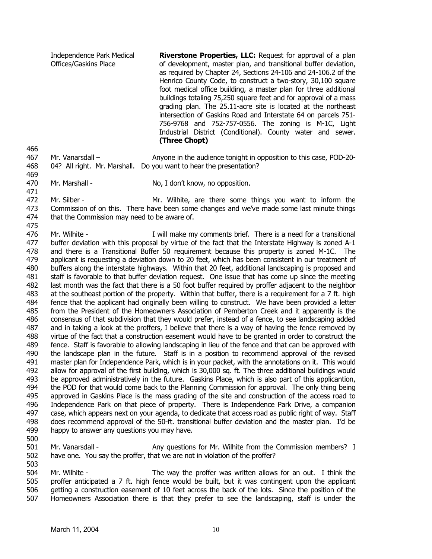Independence Park Medical Offices/Gaskins Place **Riverstone Properties, LLC:** Request for approval of a plan of development, master plan, and transitional buffer deviation, as required by Chapter 24, Sections 24-106 and 24-106.2 of the Henrico County Code, to construct a two-story, 30,100 square foot medical office building, a master plan for three additional buildings totaling 75,250 square feet and for approval of a mass grading plan. The 25.11-acre site is located at the northeast intersection of Gaskins Road and Interstate 64 on parcels 751- 756-9768 and 752-757-0556. The zoning is M-1C, Light Industrial District (Conditional). County water and sewer. **(Three Chopt)** 

467 468 Mr. Vanarsdall – Anyone in the audience tonight in opposition to this case, POD-20-04? All right. Mr. Marshall. Do you want to hear the presentation?

470 Mr. Marshall - No, I don't know, no opposition.

471

466

469

472 473 474 Mr. Silber - Mr. Wilhite, are there some things you want to inform the Commission of on this. There have been some changes and we've made some last minute things that the Commission may need to be aware of.

475

476 477 478 479 480 481 482 483 484 485 486 487 488 489 490 491 492 493 494 495 496 497 498 499 Mr. Wilhite - The Mill make my comments brief. There is a need for a transitional buffer deviation with this proposal by virtue of the fact that the Interstate Highway is zoned A-1 and there is a Transitional Buffer 50 requirement because this property is zoned M-1C. The applicant is requesting a deviation down to 20 feet, which has been consistent in our treatment of buffers along the interstate highways. Within that 20 feet, additional landscaping is proposed and staff is favorable to that buffer deviation request. One issue that has come up since the meeting last month was the fact that there is a 50 foot buffer required by proffer adjacent to the neighbor at the southeast portion of the property. Within that buffer, there is a requirement for a 7 ft. high fence that the applicant had originally been willing to construct. We have been provided a letter from the President of the Homeowners Association of Pemberton Creek and it apparently is the consensus of that subdivision that they would prefer, instead of a fence, to see landscaping added and in taking a look at the proffers, I believe that there is a way of having the fence removed by virtue of the fact that a construction easement would have to be granted in order to construct the fence. Staff is favorable to allowing landscaping in lieu of the fence and that can be approved with the landscape plan in the future. Staff is in a position to recommend approval of the revised master plan for Independence Park, which is in your packet, with the annotations on it. This would allow for approval of the first building, which is 30,000 sq. ft. The three additional buildings would be approved administratively in the future. Gaskins Place, which is also part of this applicantion, the POD for that would come back to the Planning Commission for approval. The only thing being approved in Gaskins Place is the mass grading of the site and construction of the access road to Independence Park on that piece of property. There is Independence Park Drive, a companion case, which appears next on your agenda, to dedicate that access road as public right of way. Staff does recommend approval of the 50-ft. transitional buffer deviation and the master plan. I'd be happy to answer any questions you may have.

500

503

501 502 Mr. Vanarsdall - Any questions for Mr. Wilhite from the Commission members? I have one. You say the proffer, that we are not in violation of the proffer?

504 505 506 507 Mr. Wilhite - The way the proffer was written allows for an out. I think the proffer anticipated a 7 ft. high fence would be built, but it was contingent upon the applicant getting a construction easement of 10 feet across the back of the lots. Since the position of the Homeowners Association there is that they prefer to see the landscaping, staff is under the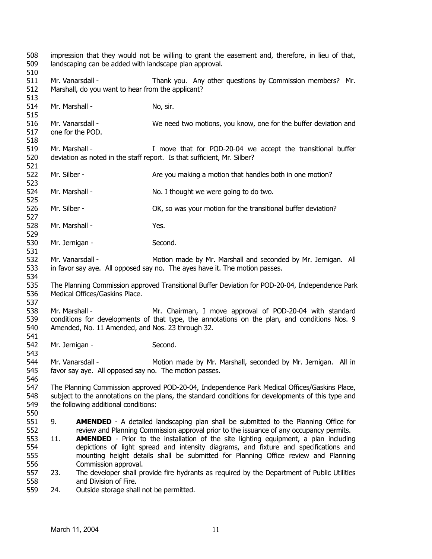| 508<br>509<br>510        | impression that they would not be willing to grant the easement and, therefore, in lieu of that,<br>landscaping can be added with landscape plan approval.                                                                                 |                                                                                                                                                                                                                                                                            |                                                                                                                                                                                       |
|--------------------------|--------------------------------------------------------------------------------------------------------------------------------------------------------------------------------------------------------------------------------------------|----------------------------------------------------------------------------------------------------------------------------------------------------------------------------------------------------------------------------------------------------------------------------|---------------------------------------------------------------------------------------------------------------------------------------------------------------------------------------|
| 511<br>512               |                                                                                                                                                                                                                                            | Mr. Vanarsdall -<br>Marshall, do you want to hear from the applicant?                                                                                                                                                                                                      | Thank you. Any other questions by Commission members? Mr.                                                                                                                             |
| 513<br>514<br>515        | Mr. Marshall -                                                                                                                                                                                                                             |                                                                                                                                                                                                                                                                            | No, sir.                                                                                                                                                                              |
| 516<br>517               |                                                                                                                                                                                                                                            | Mr. Vanarsdall -<br>one for the POD.                                                                                                                                                                                                                                       | We need two motions, you know, one for the buffer deviation and                                                                                                                       |
| 518<br>519<br>520        | Mr. Marshall -                                                                                                                                                                                                                             |                                                                                                                                                                                                                                                                            | I move that for POD-20-04 we accept the transitional buffer<br>deviation as noted in the staff report. Is that sufficient, Mr. Silber?                                                |
| 521<br>522<br>523        | Mr. Silber -                                                                                                                                                                                                                               |                                                                                                                                                                                                                                                                            | Are you making a motion that handles both in one motion?                                                                                                                              |
| 524<br>525               | Mr. Marshall -                                                                                                                                                                                                                             |                                                                                                                                                                                                                                                                            | No. I thought we were going to do two.                                                                                                                                                |
| 526<br>527               | Mr. Silber -                                                                                                                                                                                                                               |                                                                                                                                                                                                                                                                            | OK, so was your motion for the transitional buffer deviation?                                                                                                                         |
| 528<br>529               | Mr. Marshall -                                                                                                                                                                                                                             |                                                                                                                                                                                                                                                                            | Yes.                                                                                                                                                                                  |
| 530<br>531               | Mr. Jernigan -                                                                                                                                                                                                                             |                                                                                                                                                                                                                                                                            | Second.                                                                                                                                                                               |
| 532<br>533<br>534        |                                                                                                                                                                                                                                            | Mr. Vanarsdall -                                                                                                                                                                                                                                                           | Motion made by Mr. Marshall and seconded by Mr. Jernigan. All<br>in favor say aye. All opposed say no. The ayes have it. The motion passes.                                           |
| 535<br>536<br>537        | The Planning Commission approved Transitional Buffer Deviation for POD-20-04, Independence Park<br>Medical Offices/Gaskins Place.                                                                                                          |                                                                                                                                                                                                                                                                            |                                                                                                                                                                                       |
| 538<br>539<br>540<br>541 | Mr. Marshall -                                                                                                                                                                                                                             | Amended, No. 11 Amended, and Nos. 23 through 32.                                                                                                                                                                                                                           | Mr. Chairman, I move approval of POD-20-04 with standard<br>conditions for developments of that type, the annotations on the plan, and conditions Nos. 9                              |
| 542<br>543               | Mr. Jernigan -                                                                                                                                                                                                                             |                                                                                                                                                                                                                                                                            | Second.                                                                                                                                                                               |
| 544<br>545<br>546        | Mr. Vanarsdall -<br>favor say aye. All opposed say no. The motion passes.                                                                                                                                                                  |                                                                                                                                                                                                                                                                            | Motion made by Mr. Marshall, seconded by Mr. Jernigan. All in                                                                                                                         |
| 547<br>548<br>549<br>550 | The Planning Commission approved POD-20-04, Independence Park Medical Offices/Gaskins Place,<br>subject to the annotations on the plans, the standard conditions for developments of this type and<br>the following additional conditions: |                                                                                                                                                                                                                                                                            |                                                                                                                                                                                       |
| 551<br>552               | 9.                                                                                                                                                                                                                                         |                                                                                                                                                                                                                                                                            | <b>AMENDED</b> - A detailed landscaping plan shall be submitted to the Planning Office for<br>review and Planning Commission approval prior to the issuance of any occupancy permits. |
| 553<br>554<br>555<br>556 | 11.                                                                                                                                                                                                                                        | <b>AMENDED</b> - Prior to the installation of the site lighting equipment, a plan including<br>depictions of light spread and intensity diagrams, and fixture and specifications and<br>mounting height details shall be submitted for Planning Office review and Planning |                                                                                                                                                                                       |
| 557<br>558               | 23.                                                                                                                                                                                                                                        | Commission approval.<br>and Division of Fire.                                                                                                                                                                                                                              | The developer shall provide fire hydrants as required by the Department of Public Utilities                                                                                           |
| 559                      | 24.                                                                                                                                                                                                                                        | Outside storage shall not be permitted.                                                                                                                                                                                                                                    |                                                                                                                                                                                       |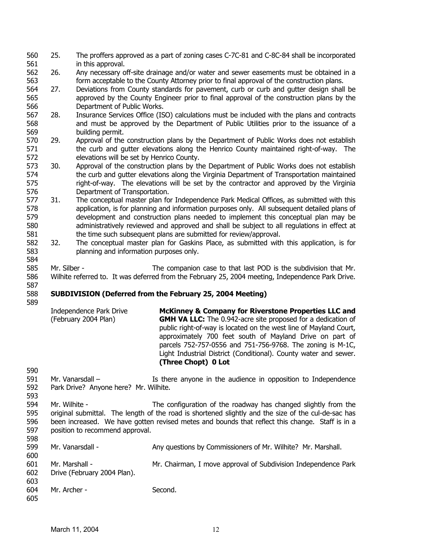- 560 561 25. The proffers approved as a part of zoning cases C-7C-81 and C-8C-84 shall be incorporated in this approval.
- 562 563 26. Any necessary off-site drainage and/or water and sewer easements must be obtained in a form acceptable to the County Attorney prior to final approval of the construction plans.
- 564 565 566 27. Deviations from County standards for pavement, curb or curb and gutter design shall be approved by the County Engineer prior to final approval of the construction plans by the Department of Public Works.
- 567 568 569 28. Insurance Services Office (ISO) calculations must be included with the plans and contracts and must be approved by the Department of Public Utilities prior to the issuance of a building permit.
- 570 571 572 29. Approval of the construction plans by the Department of Public Works does not establish the curb and gutter elevations along the Henrico County maintained right-of-way. The elevations will be set by Henrico County.
- 573 574 575 576 30. Approval of the construction plans by the Department of Public Works does not establish the curb and gutter elevations along the Virginia Department of Transportation maintained right-of-way. The elevations will be set by the contractor and approved by the Virginia Department of Transportation.
- 577 578 579 580 581 31. The conceptual master plan for Independence Park Medical Offices, as submitted with this application, is for planning and information purposes only. All subsequent detailed plans of development and construction plans needed to implement this conceptual plan may be administratively reviewed and approved and shall be subject to all regulations in effect at the time such subsequent plans are submitted for review/approval.
- 582 583 584 32. The conceptual master plan for Gaskins Place, as submitted with this application, is for planning and information purposes only.

585 586 587 Mr. Silber - The companion case to that last POD is the subdivision that Mr. Wilhite referred to. It was deferred from the February 25, 2004 meeting, Independence Park Drive.

### 588 589 **SUBDIVISION (Deferred from the February 25, 2004 Meeting)**

- 590 Independence Park Drive (February 2004 Plan) **McKinney & Company for Riverstone Properties LLC and GMH VA LLC:** The 0.942-acre site proposed for a dedication of public right-of-way is located on the west line of Mayland Court, approximately 700 feet south of Mayland Drive on part of parcels 752-757-0556 and 751-756-9768. The zoning is M-1C, Light Industrial District (Conditional). County water and sewer. **(Three Chopt) 0 Lot**
- 591 592 593 Mr. Vanarsdall – There anyone in the audience in opposition to Independence Park Drive? Anyone here? Mr. Wilhite.
- 594 595 596 597 598 Mr. Wilhite - The configuration of the roadway has changed slightly from the original submittal. The length of the road is shortened slightly and the size of the cul-de-sac has been increased. We have gotten revised metes and bounds that reflect this change. Staff is in a position to recommend approval.

| <u> JJU</u><br>599 | Mr. Vanarsdall -            | Any questions by Commissioners of Mr. Wilhite? Mr. Marshall.   |
|--------------------|-----------------------------|----------------------------------------------------------------|
| 600<br>601         | Mr. Marshall -              | Mr. Chairman, I move approval of Subdivision Independence Park |
| 602<br>603         | Drive (February 2004 Plan). |                                                                |
| 604<br>605         | Mr. Archer -                | Second.                                                        |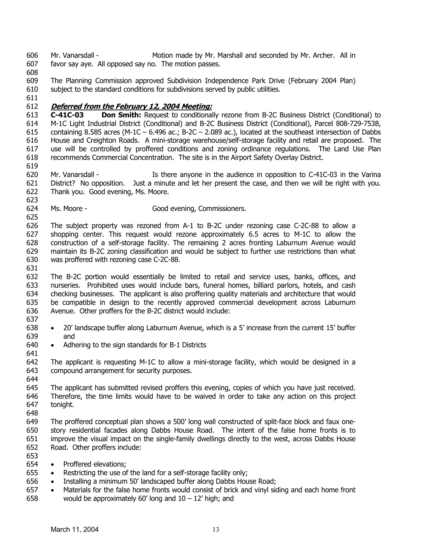606 607 Mr. Vanarsdall - Motion made by Mr. Marshall and seconded by Mr. Archer. All in favor say aye. All opposed say no. The motion passes.

608

611

619

623

609 610 The Planning Commission approved Subdivision Independence Park Drive (February 2004 Plan) subject to the standard conditions for subdivisions served by public utilities.

# 612 **Deferred from the February 12, 2004 Meeting:**

613 614 615 616 617 618 **C-41C-03 Don Smith:** Request to conditionally rezone from B-2C Business District (Conditional) to M-1C Light Industrial District (Conditional) and B-2C Business District (Conditional), Parcel 808-729-7538, containing 8.585 acres (M-1C – 6.496 ac.; B-2C – 2.089 ac.), located at the southeast intersection of Dabbs House and Creighton Roads. A mini-storage warehouse/self-storage facility and retail are proposed. The use will be controlled by proffered conditions and zoning ordinance regulations. The Land Use Plan recommends Commercial Concentration. The site is in the Airport Safety Overlay District.

620 621 622 Mr. Vanarsdall - The Is there anyone in the audience in opposition to C-41C-03 in the Varina District? No opposition. Just a minute and let her present the case, and then we will be right with you. Thank you. Good evening, Ms. Moore.

624 625 Ms. Moore - Good evening, Commissioners.

626 627 628 629 630 The subject property was rezoned from A-1 to B-2C under rezoning case C-2C-88 to allow a shopping center. This request would rezone approximately 6.5 acres to M-1C to allow the construction of a self-storage facility. The remaining 2 acres fronting Laburnum Avenue would maintain its B-2C zoning classification and would be subject to further use restrictions than what was proffered with rezoning case C-2C-88.

631

632 633 634 635 636 637 The B-2C portion would essentially be limited to retail and service uses, banks, offices, and nurseries. Prohibited uses would include bars, funeral homes, billiard parlors, hotels, and cash checking businesses. The applicant is also proffering quality materials and architecture that would be compatible in design to the recently approved commercial development across Laburnum Avenue. Other proffers for the B-2C district would include:

- 638 639 • 20' landscape buffer along Laburnum Avenue, which is a 5' increase from the current 15' buffer and
- 640 641 • Adhering to the sign standards for B-1 Districts
- 642 643 The applicant is requesting M-1C to allow a mini-storage facility, which would be designed in a compound arrangement for security purposes.
- 645 646 647 The applicant has submitted revised proffers this evening, copies of which you have just received. Therefore, the time limits would have to be waived in order to take any action on this project tonight.
- 648

- 649 650 651 652 653 The proffered conceptual plan shows a 500' long wall constructed of split-face block and faux onestory residential facades along Dabbs House Road. The intent of the false home fronts is to improve the visual impact on the single-family dwellings directly to the west, across Dabbs House Road. Other proffers include:
- 654 • Proffered elevations:
- 655 Restricting the use of the land for a self-storage facility only;
- 656 • Installing a minimum 50' landscaped buffer along Dabbs House Road;
- 657 658 • Materials for the false home fronts would consist of brick and vinyl siding and each home front would be approximately 60' long and  $10 - 12'$  high; and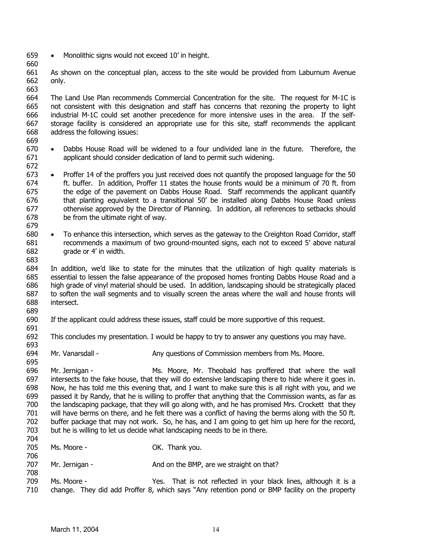- 659 • Monolithic signs would not exceed 10' in height.
- 661 662 As shown on the conceptual plan, access to the site would be provided from Laburnum Avenue only.
- 663 664 665 666 667 668 The Land Use Plan recommends Commercial Concentration for the site. The request for M-1C is not consistent with this designation and staff has concerns that rezoning the property to light industrial M-1C could set another precedence for more intensive uses in the area. If the selfstorage facility is considered an appropriate use for this site, staff recommends the applicant address the following issues:
- 669 670 671 • Dabbs House Road will be widened to a four undivided lane in the future. Therefore, the applicant should consider dedication of land to permit such widening.
- 672

679

660

- Proffer 14 of the proffers you just received does not quantify the proposed language for the 50 ft. buffer. In addition, Proffer 11 states the house fronts would be a minimum of 70 ft. from the edge of the pavement on Dabbs House Road. Staff recommends the applicant quantify that planting equivalent to a transitional 50' be installed along Dabbs House Road unless otherwise approved by the Director of Planning. In addition, all references to setbacks should be from the ultimate right of way. 673 674 675 676 677 678
- 680 681 682 683 • To enhance this intersection, which serves as the gateway to the Creighton Road Corridor, staff recommends a maximum of two ground-mounted signs, each not to exceed 5' above natural grade or 4' in width.
- 684 685 686 687 688 689 In addition, we'd like to state for the minutes that the utilization of high quality materials is essential to lessen the false appearance of the proposed homes fronting Dabbs House Road and a high grade of vinyl material should be used. In addition, landscaping should be strategically placed to soften the wall segments and to visually screen the areas where the wall and house fronts will intersect.
- 690 If the applicant could address these issues, staff could be more supportive of this request.
- 691

- 692 693 This concludes my presentation. I would be happy to try to answer any questions you may have.
- 694 Mr. Vanarsdall - Any questions of Commission members from Ms. Moore.
- 696 697 698 699 700 701 702 703 704 Mr. Jernigan - Ms. Moore, Mr. Theobald has proffered that where the wall intersects to the fake house, that they will do extensive landscaping there to hide where it goes in. Now, he has told me this evening that, and I want to make sure this is all right with you, and we passed it by Randy, that he is willing to proffer that anything that the Commission wants, as far as the landscaping package, that they will go along with, and he has promised Mrs. Crockett that they will have berms on there, and he felt there was a conflict of having the berms along with the 50 ft. buffer package that may not work. So, he has, and I am going to get him up here for the record, but he is willing to let us decide what landscaping needs to be in there.
- 705 Ms. Moore - Case Corp. 2014. Thank you.
- 706 707 Mr. Jernigan - And on the BMP, are we straight on that?
- 708 709 710 Ms. Moore - That is not reflected in your black lines, although it is a change. They did add Proffer 8, which says "Any retention pond or BMP facility on the property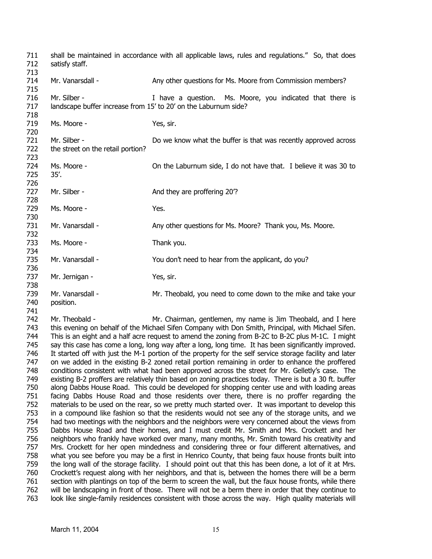711 712 713 714 715 716 717 718 719 720 721 722 723 724 725 726 727 728 729 730 731 732 733 734 735 736 737 738 739 740 741 742 743 744 745 746 747 748 749 750 751 752 753 754 755 756 757 758 759 760 761 762 shall be maintained in accordance with all applicable laws, rules and regulations." So, that does satisfy staff. Mr. Vanarsdall - Any other questions for Ms. Moore from Commission members? Mr. Silber - Thave a question. Ms. Moore, you indicated that there is landscape buffer increase from 15' to 20' on the Laburnum side? Ms. Moore - Yes, sir. Mr. Silber - The Sulface of the buffer is that was recently approved across the street on the retail portion? Ms. Moore - On the Laburnum side, I do not have that. I believe it was 30 to 35'. Mr. Silber - And they are proffering 20<sup>'?</sup> Ms. Moore - The Mes. Mr. Vanarsdall - Any other questions for Ms. Moore? Thank you, Ms. Moore. Ms. Moore - Thank you. Mr. Vanarsdall - You don't need to hear from the applicant, do you? Mr. Jernigan - Yes, sir. Mr. Vanarsdall - Mr. Theobald, you need to come down to the mike and take your position. Mr. Theobald - Mr. Chairman, gentlemen, my name is Jim Theobald, and I here this evening on behalf of the Michael Sifen Company with Don Smith, Principal, with Michael Sifen. This is an eight and a half acre request to amend the zoning from B-2C to B-2C plus M-1C. I might say this case has come a long, long way after a long, long time. It has been significantly improved. It started off with just the M-1 portion of the property for the self service storage facility and later on we added in the existing B-2 zoned retail portion remaining in order to enhance the proffered conditions consistent with what had been approved across the street for Mr. Gelletly's case. The existing B-2 proffers are relatively thin based on zoning practices today. There is but a 30 ft. buffer along Dabbs House Road. This could be developed for shopping center use and with loading areas facing Dabbs House Road and those residents over there, there is no proffer regarding the materials to be used on the rear, so we pretty much started over. It was important to develop this in a compound like fashion so that the residents would not see any of the storage units, and we had two meetings with the neighbors and the neighbors were very concerned about the views from Dabbs House Road and their homes, and I must credit Mr. Smith and Mrs. Crockett and her neighbors who frankly have worked over many, many months, Mr. Smith toward his creativity and Mrs. Crockett for her open mindedness and considering three or four different alternatives, and what you see before you may be a first in Henrico County, that being faux house fronts built into the long wall of the storage facility. I should point out that this has been done, a lot of it at Mrs. Crockett's request along with her neighbors, and that is, between the homes there will be a berm section with plantings on top of the berm to screen the wall, but the faux house fronts, while there will be landscaping in front of those. There will not be a berm there in order that they continue to

763 look like single-family residences consistent with those across the way. High quality materials will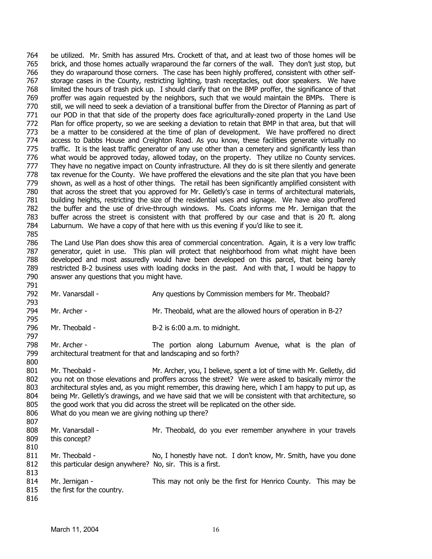764 765 766 767 768 769 770 771 772 773 774 775 776 777 778 779 780 781 782 783 784 785 be utilized. Mr. Smith has assured Mrs. Crockett of that, and at least two of those homes will be brick, and those homes actually wraparound the far corners of the wall. They don't just stop, but they do wraparound those corners. The case has been highly proffered, consistent with other selfstorage cases in the County, restricting lighting, trash receptacles, out door speakers. We have limited the hours of trash pick up. I should clarify that on the BMP proffer, the significance of that proffer was again requested by the neighbors, such that we would maintain the BMPs. There is still, we will need to seek a deviation of a transitional buffer from the Director of Planning as part of our POD in that that side of the property does face agriculturally-zoned property in the Land Use Plan for office property, so we are seeking a deviation to retain that BMP in that area, but that will be a matter to be considered at the time of plan of development. We have proffered no direct access to Dabbs House and Creighton Road. As you know, these facilities generate virtually no traffic. It is the least traffic generator of any use other than a cemetery and significantly less than what would be approved today, allowed today, on the property. They utilize no County services. They have no negative impact on County infrastructure. All they do is sit there silently and generate tax revenue for the County. We have proffered the elevations and the site plan that you have been shown, as well as a host of other things. The retail has been significantly amplified consistent with that across the street that you approved for Mr. Gelletly's case in terms of architectural materials, building heights, restricting the size of the residential uses and signage. We have also proffered the buffer and the use of drive-through windows. Ms. Coats informs me Mr. Jernigan that the buffer across the street is consistent with that proffered by our case and that is 20 ft. along Laburnum. We have a copy of that here with us this evening if you'd like to see it.

786 787 788 789 790 The Land Use Plan does show this area of commercial concentration. Again, it is a very low traffic generator, quiet in use. This plan will protect that neighborhood from what might have been developed and most assuredly would have been developed on this parcel, that being barely restricted B-2 business uses with loading docks in the past. And with that, I would be happy to answer any questions that you might have.

792 Mr. Vanarsdall - Any questions by Commission members for Mr. Theobald?

794 Mr. Archer - Mr. Theobald, what are the allowed hours of operation in B-2?

796 Mr. Theobald - B-2 is 6:00 a.m. to midnight.

798 799 Mr. Archer - The portion along Laburnum Avenue, what is the plan of architectural treatment for that and landscaping and so forth?

801 802 803 804 805 806 807 808 Mr. Theobald - Mr. Archer, you, I believe, spent a lot of time with Mr. Gelletly, did you not on those elevations and proffers across the street? We were asked to basically mirror the architectural styles and, as you might remember, this drawing here, which I am happy to put up, as being Mr. Gelletly's drawings, and we have said that we will be consistent with that architecture, so the good work that you did across the street will be replicated on the other side. What do you mean we are giving nothing up there? Mr. Vanarsdall - Mr. Theobald, do you ever remember anywhere in your travels

809 810 this concept?

811 812 813 Mr. Theobald - No, I honestly have not. I don't know, Mr. Smith, have you done this particular design anywhere? No, sir. This is a first.

814 815 816 Mr. Jernigan - This may not only be the first for Henrico County. This may be the first for the country.

791

793

795

797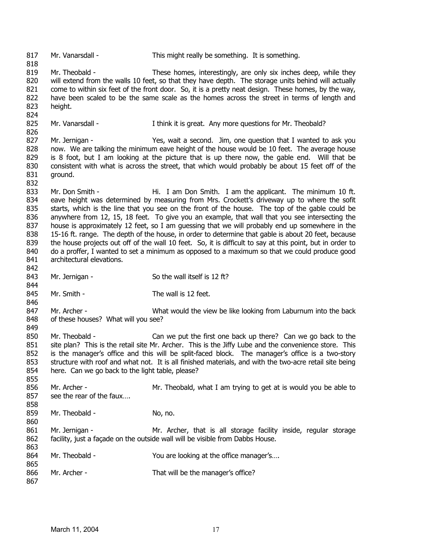817 818 819 820 821 822 823 824 825 826 827 828 829 830 831 832 833 834 835 836 837 838 839 840 841 842 843 844 845 846 847 848 849 850 851 852 853 854 855 856 857 858 859 860 861 862 863 864 865 866 867 Mr. Vanarsdall - This might really be something. It is something. Mr. Theobald - These homes, interestingly, are only six inches deep, while they will extend from the walls 10 feet, so that they have depth. The storage units behind will actually come to within six feet of the front door. So, it is a pretty neat design. These homes, by the way, have been scaled to be the same scale as the homes across the street in terms of length and height. Mr. Vanarsdall - Think it is great. Any more questions for Mr. Theobald? Mr. Jernigan - Yes, wait a second. Jim, one question that I wanted to ask you now. We are talking the minimum eave height of the house would be 10 feet. The average house is 8 foot, but I am looking at the picture that is up there now, the gable end. Will that be consistent with what is across the street, that which would probably be about 15 feet off of the ground. Mr. Don Smith - The Hi. I am Don Smith. I am the applicant. The minimum 10 ft. eave height was determined by measuring from Mrs. Crockett's driveway up to where the sofit starts, which is the line that you see on the front of the house. The top of the gable could be anywhere from 12, 15, 18 feet. To give you an example, that wall that you see intersecting the house is approximately 12 feet, so I am guessing that we will probably end up somewhere in the 15-16 ft. range. The depth of the house, in order to determine that gable is about 20 feet, because the house projects out off of the wall 10 feet. So, it is difficult to say at this point, but in order to do a proffer, I wanted to set a minimum as opposed to a maximum so that we could produce good architectural elevations. Mr. Jernigan - So the wall itself is 12 ft? Mr. Smith - The wall is 12 feet. Mr. Archer - What would the view be like looking from Laburnum into the back of these houses? What will you see? Mr. Theobald - Can we put the first one back up there? Can we go back to the site plan? This is the retail site Mr. Archer. This is the Jiffy Lube and the convenience store. This is the manager's office and this will be split-faced block. The manager's office is a two-story structure with roof and what not. It is all finished materials, and with the two-acre retail site being here. Can we go back to the light table, please? Mr. Archer - Mr. Theobald, what I am trying to get at is would you be able to see the rear of the faux…. Mr. Theobald - No, no. Mr. Jernigan - Mr. Archer, that is all storage facility inside, regular storage facility, just a façade on the outside wall will be visible from Dabbs House. Mr. Theobald - You are looking at the office manager's.... Mr. Archer - That will be the manager's office?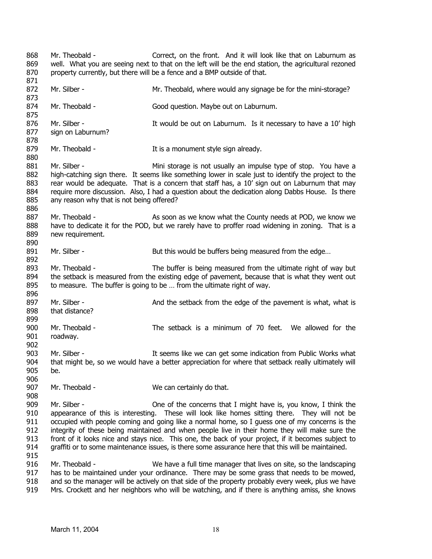868 869 870 871 872 873 874 875 876 877 878 879 880 881 882 883 884 885 886 887 888 889 890 891 892 893 894 895 896 897 898 899 900 901 902 903 904 905 906 907 908 909 910 911 912 913 914 915 916 917 918 Mr. Theobald - Correct, on the front. And it will look like that on Laburnum as well. What you are seeing next to that on the left will be the end station, the agricultural rezoned property currently, but there will be a fence and a BMP outside of that. Mr. Silber - Theobald, where would any signage be for the mini-storage? Mr. Theobald - Good question. Maybe out on Laburnum. Mr. Silber - The Muslim state of the out on Laburnum. Is it necessary to have a 10' high sign on Laburnum? Mr. Theobald - Theorem 1 It is a monument style sign already. Mr. Silber - The Mini storage is not usually an impulse type of stop. You have a high-catching sign there. It seems like something lower in scale just to identify the project to the rear would be adequate. That is a concern that staff has, a 10' sign out on Laburnum that may require more discussion. Also, I had a question about the dedication along Dabbs House. Is there any reason why that is not being offered? Mr. Theobald - As soon as we know what the County needs at POD, we know we have to dedicate it for the POD, but we rarely have to proffer road widening in zoning. That is a new requirement. Mr. Silber - But this would be buffers being measured from the edge... Mr. Theobald - The buffer is being measured from the ultimate right of way but the setback is measured from the existing edge of pavement, because that is what they went out to measure. The buffer is going to be … from the ultimate right of way. Mr. Silber - And the setback from the edge of the pavement is what, what is that distance? Mr. Theobald - The setback is a minimum of 70 feet. We allowed for the roadway. Mr. Silber - The Subsett of the Subsetted States in the Subsetted Mr. Silber - The Subsetted Mr. Silber - The Subsetted Mr. Silber - The Subsetted Mr. Silber - The Subsetted Mr. Silber - The Subsetted Mr. Silber - The Subs that might be, so we would have a better appreciation for where that setback really ultimately will be. Mr. Theobald - We can certainly do that. Mr. Silber - **One of the concerns that I might have is, you know, I think the** appearance of this is interesting. These will look like homes sitting there. They will not be occupied with people coming and going like a normal home, so I guess one of my concerns is the integrity of these being maintained and when people live in their home they will make sure the front of it looks nice and stays nice. This one, the back of your project, if it becomes subject to graffiti or to some maintenance issues, is there some assurance here that this will be maintained. Mr. Theobald - We have a full time manager that lives on site, so the landscaping has to be maintained under your ordinance. There may be some grass that needs to be mowed, and so the manager will be actively on that side of the property probably every week, plus we have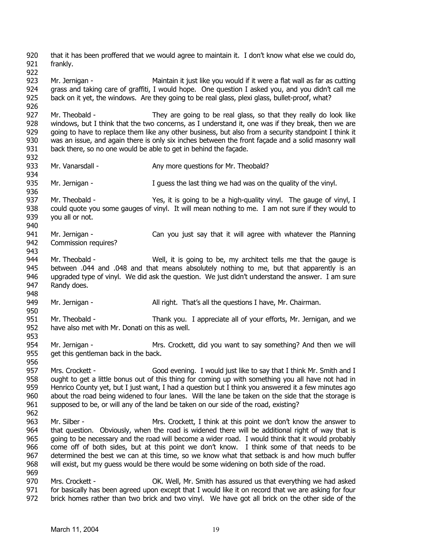920 921 922 923 924 925 926 927 928 929 930 931 932 933 934 935 936 937 938 939 940 941 942 943 944 945 946 947 948 949 950 951 952 953 954 955 956 957 958 959 960 961 962 963 964 965 966 967 968 969 970 971 972 that it has been proffered that we would agree to maintain it. I don't know what else we could do, frankly. Mr. Jernigan - The Maintain it just like you would if it were a flat wall as far as cutting grass and taking care of graffiti, I would hope. One question I asked you, and you didn't call me back on it yet, the windows. Are they going to be real glass, plexi glass, bullet-proof, what? Mr. Theobald - They are going to be real glass, so that they really do look like windows, but I think that the two concerns, as I understand it, one was if they break, then we are going to have to replace them like any other business, but also from a security standpoint I think it was an issue, and again there is only six inches between the front façade and a solid masonry wall back there, so no one would be able to get in behind the façade. Mr. Vanarsdall - Any more questions for Mr. Theobald? Mr. Jernigan - The I guess the last thing we had was on the quality of the vinyl. Mr. Theobald - Yes, it is going to be a high-quality vinyl. The gauge of vinyl, I could quote you some gauges of vinyl. It will mean nothing to me. I am not sure if they would to you all or not. Mr. Jernigan - Can you just say that it will agree with whatever the Planning Commission requires? Mr. Theobald - Well, it is going to be, my architect tells me that the gauge is between .044 and .048 and that means absolutely nothing to me, but that apparently is an upgraded type of vinyl. We did ask the question. We just didn't understand the answer. I am sure Randy does. Mr. Jernigan - All right. That's all the questions I have, Mr. Chairman. Mr. Theobald - Thank you. I appreciate all of your efforts, Mr. Jernigan, and we have also met with Mr. Donati on this as well. Mr. Jernigan - The Mrs. Crockett, did you want to say something? And then we will get this gentleman back in the back. Mrs. Crockett - Good evening. I would just like to say that I think Mr. Smith and I ought to get a little bonus out of this thing for coming up with something you all have not had in Henrico County yet, but I just want, I had a question but I think you answered it a few minutes ago about the road being widened to four lanes. Will the lane be taken on the side that the storage is supposed to be, or will any of the land be taken on our side of the road, existing? Mr. Silber - The Mrs. Crockett, I think at this point we don't know the answer to that question. Obviously, when the road is widened there will be additional right of way that is going to be necessary and the road will become a wider road. I would think that it would probably come off of both sides, but at this point we don't know. I think some of that needs to be determined the best we can at this time, so we know what that setback is and how much buffer will exist, but my guess would be there would be some widening on both side of the road. Mrs. Crockett - **OK.** Well, Mr. Smith has assured us that everything we had asked for basically has been agreed upon except that I would like it on record that we are asking for four brick homes rather than two brick and two vinyl. We have got all brick on the other side of the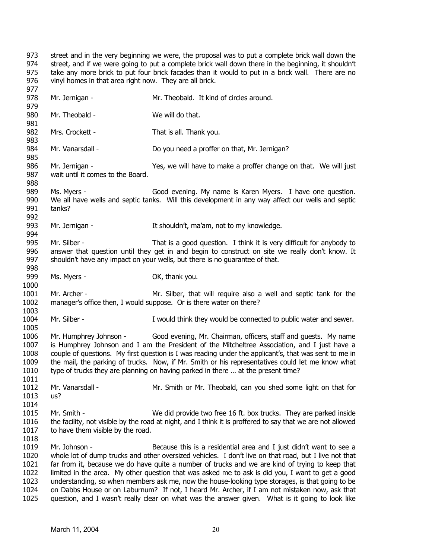973 974 975 976 977 street and in the very beginning we were, the proposal was to put a complete brick wall down the street, and if we were going to put a complete brick wall down there in the beginning, it shouldn't take any more brick to put four brick facades than it would to put in a brick wall. There are no vinyl homes in that area right now. They are all brick.

| 978<br>979                                           | Mr. Jernigan -                                                                                                                                                                                                                                                                                                                                                                                                                                                                          | Mr. Theobald. It kind of circles around.                                                                                                                                                                                                                                                                                                                                                                                                                                                                                                                                                                                                                                                  |
|------------------------------------------------------|-----------------------------------------------------------------------------------------------------------------------------------------------------------------------------------------------------------------------------------------------------------------------------------------------------------------------------------------------------------------------------------------------------------------------------------------------------------------------------------------|-------------------------------------------------------------------------------------------------------------------------------------------------------------------------------------------------------------------------------------------------------------------------------------------------------------------------------------------------------------------------------------------------------------------------------------------------------------------------------------------------------------------------------------------------------------------------------------------------------------------------------------------------------------------------------------------|
| 980<br>981                                           | Mr. Theobald -                                                                                                                                                                                                                                                                                                                                                                                                                                                                          | We will do that.                                                                                                                                                                                                                                                                                                                                                                                                                                                                                                                                                                                                                                                                          |
| 982<br>983                                           | Mrs. Crockett -                                                                                                                                                                                                                                                                                                                                                                                                                                                                         | That is all. Thank you.                                                                                                                                                                                                                                                                                                                                                                                                                                                                                                                                                                                                                                                                   |
| 984<br>985                                           | Mr. Vanarsdall -                                                                                                                                                                                                                                                                                                                                                                                                                                                                        | Do you need a proffer on that, Mr. Jernigan?                                                                                                                                                                                                                                                                                                                                                                                                                                                                                                                                                                                                                                              |
| 986<br>987<br>988                                    | Mr. Jernigan -<br>wait until it comes to the Board.                                                                                                                                                                                                                                                                                                                                                                                                                                     | Yes, we will have to make a proffer change on that. We will just                                                                                                                                                                                                                                                                                                                                                                                                                                                                                                                                                                                                                          |
| 989                                                  | Ms. Myers -                                                                                                                                                                                                                                                                                                                                                                                                                                                                             | Good evening. My name is Karen Myers. I have one question.                                                                                                                                                                                                                                                                                                                                                                                                                                                                                                                                                                                                                                |
| 990<br>991<br>992                                    | tanks?                                                                                                                                                                                                                                                                                                                                                                                                                                                                                  | We all have wells and septic tanks. Will this development in any way affect our wells and septic                                                                                                                                                                                                                                                                                                                                                                                                                                                                                                                                                                                          |
| 993<br>994                                           | Mr. Jernigan -                                                                                                                                                                                                                                                                                                                                                                                                                                                                          | It shouldn't, ma'am, not to my knowledge.                                                                                                                                                                                                                                                                                                                                                                                                                                                                                                                                                                                                                                                 |
| 995<br>996<br>997<br>998                             | Mr. Silber -                                                                                                                                                                                                                                                                                                                                                                                                                                                                            | That is a good question. I think it is very difficult for anybody to<br>answer that question until they get in and begin to construct on site we really don't know. It<br>shouldn't have any impact on your wells, but there is no guarantee of that.                                                                                                                                                                                                                                                                                                                                                                                                                                     |
| 999<br>1000                                          | Ms. Myers -                                                                                                                                                                                                                                                                                                                                                                                                                                                                             | OK, thank you.                                                                                                                                                                                                                                                                                                                                                                                                                                                                                                                                                                                                                                                                            |
| 1001<br>1002                                         | Mr. Archer -                                                                                                                                                                                                                                                                                                                                                                                                                                                                            | Mr. Silber, that will require also a well and septic tank for the<br>manager's office then, I would suppose. Or is there water on there?                                                                                                                                                                                                                                                                                                                                                                                                                                                                                                                                                  |
| 1003<br>1004<br>1005                                 | Mr. Silber -                                                                                                                                                                                                                                                                                                                                                                                                                                                                            | I would think they would be connected to public water and sewer.                                                                                                                                                                                                                                                                                                                                                                                                                                                                                                                                                                                                                          |
| 1006<br>1007<br>1008<br>1009<br>1010                 | Mr. Humphrey Johnson - Good evening, Mr. Chairman, officers, staff and guests. My name<br>is Humphrey Johnson and I am the President of the Mitcheltree Association, and I just have a<br>couple of questions. My first question is I was reading under the applicant's, that was sent to me in<br>the mail, the parking of trucks. Now, if Mr. Smith or his representatives could let me know what<br>type of trucks they are planning on having parked in there  at the present time? |                                                                                                                                                                                                                                                                                                                                                                                                                                                                                                                                                                                                                                                                                           |
| 1011<br>1012<br>1013<br>1014                         | Mr. Vanarsdall -<br>us?                                                                                                                                                                                                                                                                                                                                                                                                                                                                 | Mr. Smith or Mr. Theobald, can you shed some light on that for                                                                                                                                                                                                                                                                                                                                                                                                                                                                                                                                                                                                                            |
| 1015<br>1016<br>1017<br>1018                         | Mr. Smith -<br>to have them visible by the road.                                                                                                                                                                                                                                                                                                                                                                                                                                        | We did provide two free 16 ft. box trucks. They are parked inside<br>the facility, not visible by the road at night, and I think it is proffered to say that we are not allowed                                                                                                                                                                                                                                                                                                                                                                                                                                                                                                           |
| 1019<br>1020<br>1021<br>1022<br>1023<br>1024<br>1025 | Mr. Johnson -                                                                                                                                                                                                                                                                                                                                                                                                                                                                           | Because this is a residential area and I just didn't want to see a<br>whole lot of dump trucks and other oversized vehicles. I don't live on that road, but I live not that<br>far from it, because we do have quite a number of trucks and we are kind of trying to keep that<br>limited in the area. My other question that was asked me to ask is did you, I want to get a good<br>understanding, so when members ask me, now the house-looking type storages, is that going to be<br>on Dabbs House or on Laburnum? If not, I heard Mr. Archer, if I am not mistaken now, ask that<br>question, and I wasn't really clear on what was the answer given. What is it going to look like |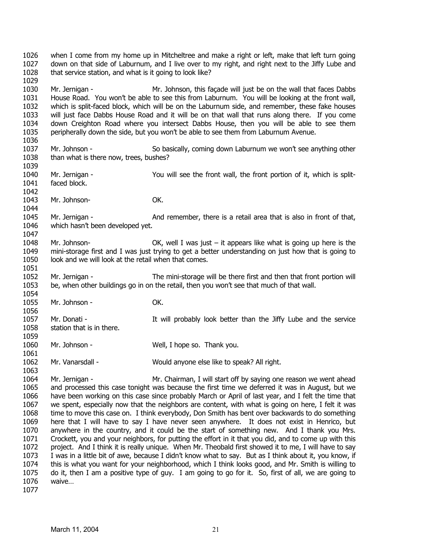1026 1027 1028 1029 1030 1031 1032 1033 1034 1035 1036 1037 1038 1039 1040 1041 1042 1043 1044 1045 1046 1047 1048 1049 1050 1051 1052 1053 1054 1055 1056 1057 1058 1059 1060 1061 1062 1063 1064 1065 1066 1067 1068 1069 1070 1071 1072 1073 1074 1075 1076 when I come from my home up in Mitcheltree and make a right or left, make that left turn going down on that side of Laburnum, and I live over to my right, and right next to the Jiffy Lube and that service station, and what is it going to look like? Mr. Jernigan - Mr. Johnson, this façade will just be on the wall that faces Dabbs House Road. You won't be able to see this from Laburnum. You will be looking at the front wall, which is split-faced block, which will be on the Laburnum side, and remember, these fake houses will just face Dabbs House Road and it will be on that wall that runs along there. If you come down Creighton Road where you intersect Dabbs House, then you will be able to see them peripherally down the side, but you won't be able to see them from Laburnum Avenue. Mr. Johnson - So basically, coming down Laburnum we won't see anything other than what is there now, trees, bushes? Mr. Jernigan - You will see the front wall, the front portion of it, which is splitfaced block. Mr. Johnson- OK. Mr. Jernigan - And remember, there is a retail area that is also in front of that, which hasn't been developed yet. Mr. Johnson-  $\mathsf{OK}$ , well I was just – it appears like what is going up here is the mini-storage first and I was just trying to get a better understanding on just how that is going to look and we will look at the retail when that comes. Mr. Jernigan - The mini-storage will be there first and then that front portion will be, when other buildings go in on the retail, then you won't see that much of that wall. Mr. Johnson - **OK.** Mr. Donati - The Muslim Contains a It will probably look better than the Jiffy Lube and the service station that is in there. Mr. Johnson - Well, I hope so. Thank you. Mr. Vanarsdall - Would anyone else like to speak? All right. Mr. Jernigan - The Mr. Chairman, I will start off by saying one reason we went ahead and processed this case tonight was because the first time we deferred it was in August, but we have been working on this case since probably March or April of last year, and I felt the time that we spent, especially now that the neighbors are content, with what is going on here, I felt it was time to move this case on. I think everybody, Don Smith has bent over backwards to do something here that I will have to say I have never seen anywhere. It does not exist in Henrico, but anywhere in the country, and it could be the start of something new. And I thank you Mrs. Crockett, you and your neighbors, for putting the effort in it that you did, and to come up with this project. And I think it is really unique. When Mr. Theobald first showed it to me, I will have to say I was in a little bit of awe, because I didn't know what to say. But as I think about it, you know, if this is what you want for your neighborhood, which I think looks good, and Mr. Smith is willing to do it, then I am a positive type of guy. I am going to go for it. So, first of all, we are going to waive…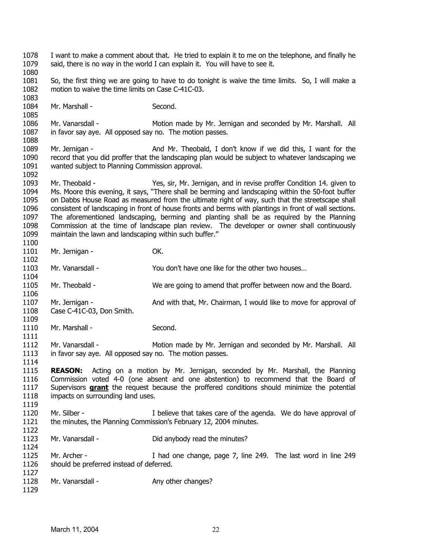1078 1079 1080 1081 1082 1083 1084 1085 1086 1087 1088 1089 1090 1091 1092 1093 1094 1095 1096 1097 1098 1099 1100 1101 1102 1103 1104 1105 1106 1107 1108 1109 1110 1111 1112 1113 1114 1115 1116 I want to make a comment about that. He tried to explain it to me on the telephone, and finally he said, there is no way in the world I can explain it. You will have to see it. So, the first thing we are going to have to do tonight is waive the time limits. So, I will make a motion to waive the time limits on Case C-41C-03. Mr. Marshall - Second. Mr. Vanarsdall - **Motion made by Mr. Jernigan and seconded by Mr. Marshall.** All in favor say aye. All opposed say no. The motion passes. Mr. Jernigan - And Mr. Theobald, I don't know if we did this. I want for the record that you did proffer that the landscaping plan would be subject to whatever landscaping we wanted subject to Planning Commission approval. Mr. Theobald - Yes, sir, Mr. Jernigan, and in revise proffer Condition 14. given to Ms. Moore this evening, it says, "There shall be berming and landscaping within the 50-foot buffer on Dabbs House Road as measured from the ultimate right of way, such that the streetscape shall consistent of landscaping in front of house fronts and berms with plantings in front of wall sections. The aforementioned landscaping, berming and planting shall be as required by the Planning Commission at the time of landscape plan review. The developer or owner shall continuously maintain the lawn and landscaping within such buffer." Mr. Jernigan - OK. Mr. Vanarsdall - You don't have one like for the other two houses… Mr. Theobald - We are going to amend that proffer between now and the Board. Mr. Jernigan - And with that, Mr. Chairman, I would like to move for approval of Case C-41C-03, Don Smith. Mr. Marshall - Second. Mr. Vanarsdall - Motion made by Mr. Jernigan and seconded by Mr. Marshall. All in favor say aye. All opposed say no. The motion passes. **REASON:** Acting on a motion by Mr. Jernigan, seconded by Mr. Marshall, the Planning Commission voted 4-0 (one absent and one abstention) to recommend that the Board of Supervisors **grant** the request because the proffered conditions should minimize the potential impacts on surrounding land uses. 1117 1118 1119 1120 1121 1122 1123 1124 1125 1126 1127 1128 1129 Mr. Silber - The intervel that takes care of the agenda. We do have approval of the minutes, the Planning Commission's February 12, 2004 minutes. Mr. Vanarsdall - Did anybody read the minutes? Mr. Archer - Thad one change, page 7, line 249. The last word in line 249 should be preferred instead of deferred. Mr. Vanarsdall - Any other changes?